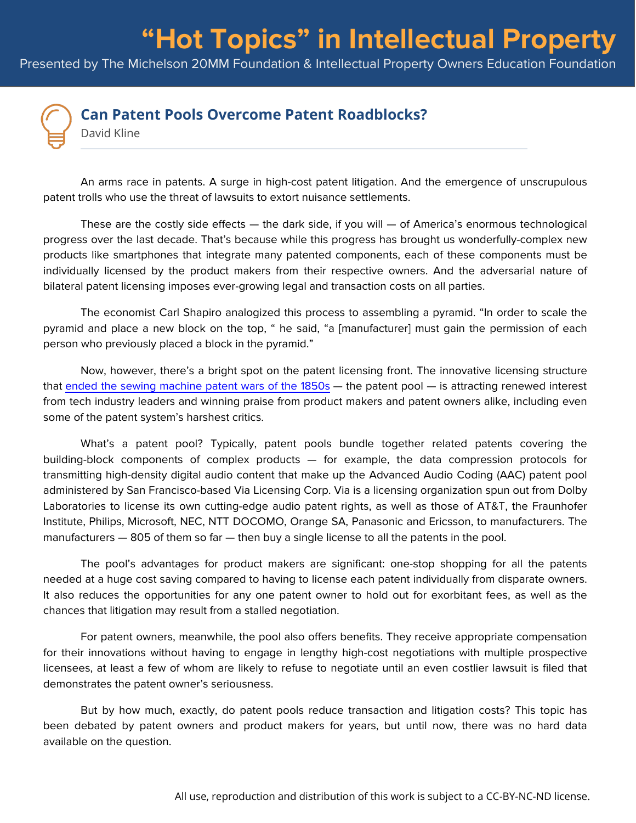## **"Hot Topics" in Intellectual Property**

Presented by The Michelson 20MM Foundation & Intellectual Property Owners Education Foundation



## **Can Patent Pools Overcome Patent Roadblocks?**

David Kline

An arms race in patents. A surge in high-cost patent litigation. And the emergence of unscrupulous patent trolls who use the threat of lawsuits to extort nuisance settlements.

These are the costly side effects  $-$  the dark side, if you will  $-$  of America's enormous technological progress over the last decade. That's because while this progress has brought us wonderfully-complex new products like smartphones that integrate many patented components, each of these components must be individually licensed by the product makers from their respective owners. And the adversarial nature of bilateral patent licensing imposes ever-growing legal and transaction costs on all parties.

The economist Carl Shapiro analogized this process to assembling a pyramid. "In order to scale the pyramid and place a new block on the top, " he said, "a [manufacturer] must gain the permission of each person who previously placed a block in the pyramid."

Now, however, there's a bright spot on the patent licensing front. The innovative licensing structure that [ended the sewing machine patent wars of the 1850s](http://www.slate.com/articles/technology/future_tense/2013/12/sewing_machine_patent_wars_of_the_1850s_what_they_tell_us_about_the_patent.html) — the patent pool — is attracting renewed interest from tech industry leaders and winning praise from product makers and patent owners alike, including even some of the patent system's harshest critics.

What's a patent pool? Typically, patent pools bundle together related patents covering the building-block components of complex products — for example, the data compression protocols for transmitting high-density digital audio content that make up the Advanced Audio Coding (AAC) patent pool administered by San Francisco-based Via Licensing Corp. Via is a licensing organization spun out from Dolby Laboratories to license its own cutting-edge audio patent rights, as well as those of AT&T, the Fraunhofer Institute, Philips, Microsoft, NEC, NTT DOCOMO, Orange SA, Panasonic and Ericsson, to manufacturers. The manufacturers — 805 of them so far — then buy a single license to all the patents in the pool.

The pool's advantages for product makers are significant: one-stop shopping for all the patents needed at a huge cost saving compared to having to license each patent individually from disparate owners. It also reduces the opportunities for any one patent owner to hold out for exorbitant fees, as well as the chances that litigation may result from a stalled negotiation.

For patent owners, meanwhile, the pool also offers benefits. They receive appropriate compensation for their innovations without having to engage in lengthy high-cost negotiations with multiple prospective licensees, at least a few of whom are likely to refuse to negotiate until an even costlier lawsuit is filed that demonstrates the patent owner's seriousness.

But by how much, exactly, do patent pools reduce transaction and litigation costs? This topic has been debated by patent owners and product makers for years, but until now, there was no hard data available on the question.